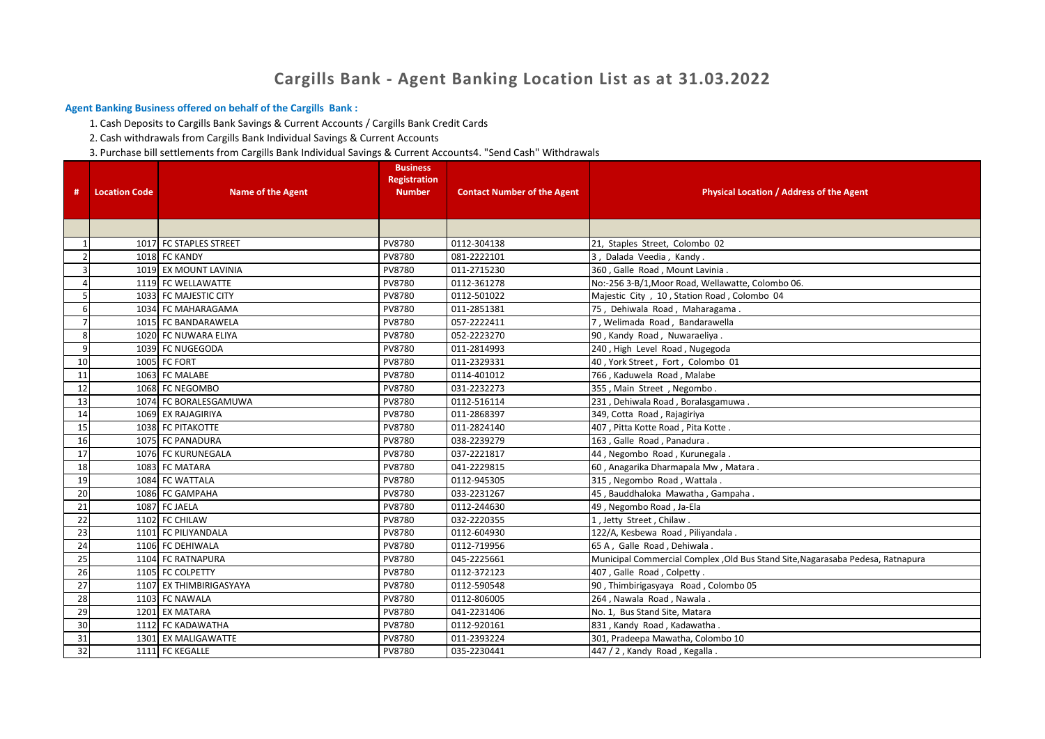## **Cargills Bank - Agent Banking Location List as at 31.03.2022**

## **Agent Banking Business offered on behalf of the Cargills Bank :**

1. Cash Deposits to Cargills Bank Savings & Current Accounts / Cargills Bank Credit Cards

2. Cash withdrawals from Cargills Bank Individual Savings & Current Accounts

3. Purchase bill settlements from Cargills Bank Individual Savings & Current Accounts4. "Send Cash" Withdrawals

| #               | <b>Location Code</b> | <b>Name of the Agent</b> | <b>Business</b><br><b>Registration</b><br><b>Number</b> | <b>Contact Number of the Agent</b> | <b>Physical Location / Address of the Agent</b>                                 |
|-----------------|----------------------|--------------------------|---------------------------------------------------------|------------------------------------|---------------------------------------------------------------------------------|
|                 |                      |                          |                                                         |                                    |                                                                                 |
|                 |                      |                          |                                                         |                                    |                                                                                 |
| $\mathbf{1}$    |                      | 1017 FC STAPLES STREET   | PV8780                                                  | 0112-304138                        | 21, Staples Street, Colombo 02                                                  |
|                 |                      | 1018 FC KANDY            | PV8780                                                  | 081-2222101                        | 3, Dalada Veedia, Kandy.                                                        |
|                 |                      | 1019 EX MOUNT LAVINIA    | PV8780                                                  | 011-2715230                        | 360, Galle Road, Mount Lavinia.                                                 |
|                 |                      | 1119 FC WELLAWATTE       | PV8780                                                  | 0112-361278                        | No:-256 3-B/1, Moor Road, Wellawatte, Colombo 06.                               |
|                 |                      | 1033 FC MAJESTIC CITY    | PV8780                                                  | 0112-501022                        | Majestic City, 10, Station Road, Colombo 04                                     |
|                 |                      | 1034 FC MAHARAGAMA       | PV8780                                                  | 011-2851381                        | 75, Dehiwala Road, Maharagama.                                                  |
|                 |                      | 1015 FC BANDARAWELA      | PV8780                                                  | 057-2222411                        | 7, Welimada Road, Bandarawella                                                  |
| 8               |                      | 1020 FC NUWARA ELIYA     | PV8780                                                  | 052-2223270                        | 90, Kandy Road, Nuwaraeliya.                                                    |
|                 |                      | 1039 FC NUGEGODA         | PV8780                                                  | 011-2814993                        | 240, High Level Road, Nugegoda                                                  |
| 10              |                      | 1005 FC FORT             | PV8780                                                  | 011-2329331                        | 40, York Street, Fort, Colombo 01                                               |
| 11              |                      | 1063 FC MALABE           | PV8780                                                  | 0114-401012                        | 766, Kaduwela Road, Malabe                                                      |
| 12              |                      | 1068 FC NEGOMBO          | PV8780                                                  | 031-2232273                        | 355, Main Street, Negombo.                                                      |
| 13              |                      | 1074 FC BORALESGAMUWA    | PV8780                                                  | 0112-516114                        | 231, Dehiwala Road, Boralasgamuwa.                                              |
| 14              |                      | 1069 EX RAJAGIRIYA       | PV8780                                                  | 011-2868397                        | 349, Cotta Road, Rajagiriya                                                     |
| 15              |                      | 1038 FC PITAKOTTE        | PV8780                                                  | 011-2824140                        | 407, Pitta Kotte Road, Pita Kotte.                                              |
| 16              |                      | 1075 FC PANADURA         | PV8780                                                  | 038-2239279                        | 163, Galle Road, Panadura.                                                      |
| 17              |                      | 1076 FC KURUNEGALA       | PV8780                                                  | 037-2221817                        | 44, Negombo Road, Kurunegala                                                    |
| 18              |                      | 1083 FC MATARA           | PV8780                                                  | 041-2229815                        | 60, Anagarika Dharmapala Mw, Matara.                                            |
| 19              |                      | 1084 FC WATTALA          | PV8780                                                  | 0112-945305                        | 315, Negombo Road, Wattala.                                                     |
| $\overline{20}$ |                      | 1086 FC GAMPAHA          | PV8780                                                  | 033-2231267                        | 45, Bauddhaloka Mawatha, Gampaha.                                               |
| 21              |                      | 1087 FC JAELA            | PV8780                                                  | 0112-244630                        | 49, Negombo Road, Ja-Ela                                                        |
| 22              |                      | 1102 FC CHILAW           | PV8780                                                  | 032-2220355                        | 1, Jetty Street, Chilaw.                                                        |
| 23              |                      | 1101 FC PILIYANDALA      | PV8780                                                  | 0112-604930                        | 122/A, Kesbewa Road, Piliyandala.                                               |
| 24              |                      | 1106 FC DEHIWALA         | PV8780                                                  | 0112-719956                        | 65 A, Galle Road, Dehiwala.                                                     |
| 25              |                      | 1104 FC RATNAPURA        | PV8780                                                  | 045-2225661                        | Municipal Commercial Complex , Old Bus Stand Site, Nagarasaba Pedesa, Ratnapura |
| 26              |                      | 1105 FC COLPETTY         | PV8780                                                  | 0112-372123                        | 407, Galle Road, Colpetty.                                                      |
| 27              |                      | 1107 EX THIMBIRIGASYAYA  | PV8780                                                  | 0112-590548                        | 90, Thimbirigasyaya Road, Colombo 05                                            |
| 28              |                      | 1103 FC NAWALA           | PV8780                                                  | 0112-806005                        | 264, Nawala Road, Nawala.                                                       |
| 29              |                      | 1201 EX MATARA           | PV8780                                                  | 041-2231406                        | No. 1, Bus Stand Site, Matara                                                   |
| 30              |                      | 1112 FC KADAWATHA        | PV8780                                                  | 0112-920161                        | 831, Kandy Road, Kadawatha.                                                     |
| 31              |                      | 1301 EX MALIGAWATTE      | PV8780                                                  | 011-2393224                        | 301, Pradeepa Mawatha, Colombo 10                                               |
| 32              |                      | 1111 FC KEGALLE          | PV8780                                                  | 035-2230441                        | 447 / 2, Kandy Road, Kegalla.                                                   |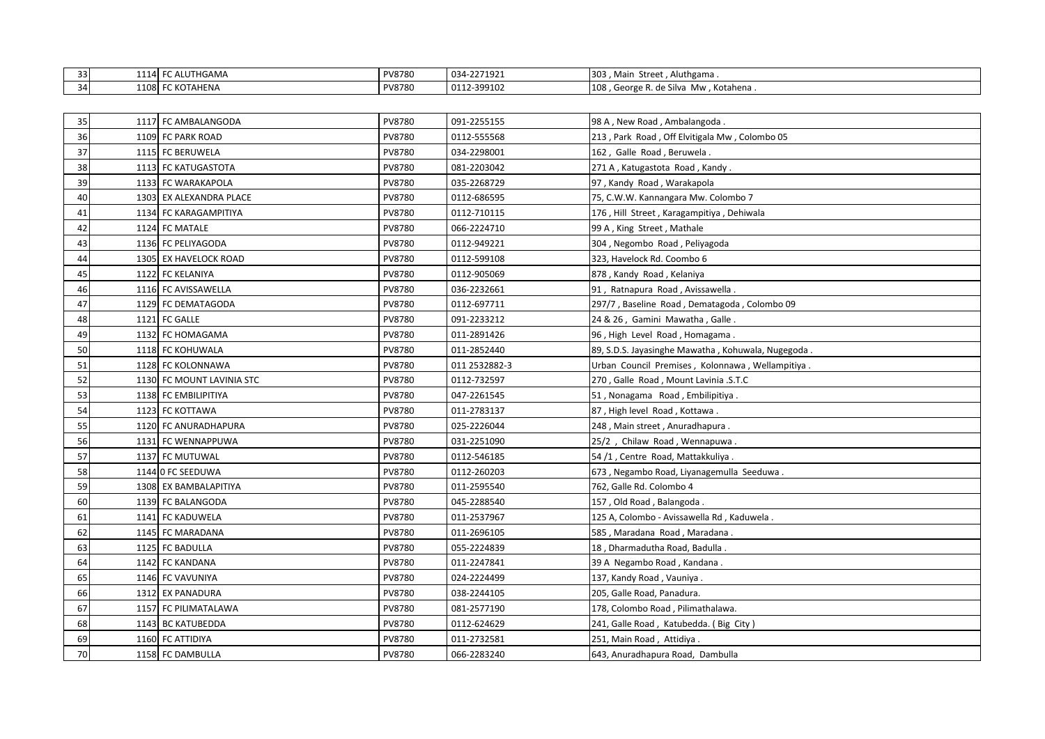| 33 | .<br>---- | FC ALUTHGAMA | PV8780 | 034-2271921 | 303, Main<br>. Aluthgama<br>Street               |
|----|-----------|--------------|--------|-------------|--------------------------------------------------|
| 34 | 1108      | C KOTAHENA   | PV8780 | 0112-399102 | 108<br>Kotahena .<br>. George R. de Silva<br>Mw. |

| 35 | 1117 FC AMBALANGODA       | PV8780 | 091-2255155   | 98 A, New Road, Ambalangoda.                       |
|----|---------------------------|--------|---------------|----------------------------------------------------|
| 36 | 1109 FC PARK ROAD         | PV8780 | 0112-555568   | 213, Park Road, Off Elvitigala Mw, Colombo 05      |
| 37 | 1115 FC BERUWELA          | PV8780 | 034-2298001   | 162, Galle Road, Beruwela.                         |
| 38 | 1113 FC KATUGASTOTA       | PV8780 | 081-2203042   | 271 A , Katugastota Road , Kandy.                  |
| 39 | 1133 FC WARAKAPOLA        | PV8780 | 035-2268729   | 97, Kandy Road, Warakapola                         |
| 40 | 1303 EX ALEXANDRA PLACE   | PV8780 | 0112-686595   | 75, C.W.W. Kannangara Mw. Colombo 7                |
| 41 | 1134 FC KARAGAMPITIYA     | PV8780 | 0112-710115   | 176, Hill Street, Karagampitiya, Dehiwala          |
| 42 | 1124 FC MATALE            | PV8780 | 066-2224710   | 99 A, King Street, Mathale                         |
| 43 | 1136 FC PELIYAGODA        | PV8780 | 0112-949221   | 304, Negombo Road, Peliyagoda                      |
| 44 | 1305 EX HAVELOCK ROAD     | PV8780 | 0112-599108   | 323, Havelock Rd. Coombo 6                         |
| 45 | 1122 FC KELANIYA          | PV8780 | 0112-905069   | 878, Kandy Road, Kelaniya                          |
| 46 | 1116 FC AVISSAWELLA       | PV8780 | 036-2232661   | 91, Ratnapura Road, Avissawella.                   |
| 47 | 1129 FC DEMATAGODA        | PV8780 | 0112-697711   | 297/7, Baseline Road, Dematagoda, Colombo 09       |
| 48 | 1121 FC GALLE             | PV8780 | 091-2233212   | 24 & 26, Gamini Mawatha, Galle.                    |
| 49 | 1132 FC HOMAGAMA          | PV8780 | 011-2891426   | 96, High Level Road, Homagama.                     |
| 50 | 1118 FC KOHUWALA          | PV8780 | 011-2852440   | 89, S.D.S. Jayasinghe Mawatha, Kohuwala, Nugegoda. |
| 51 | 1128 FC KOLONNAWA         | PV8780 | 011 2532882-3 | Urban Council Premises, Kolonnawa, Wellampitiya.   |
| 52 | 1130 FC MOUNT LAVINIA STC | PV8780 | 0112-732597   | 270, Galle Road, Mount Lavinia .S.T.C              |
| 53 | 1138 FC EMBILIPITIYA      | PV8780 | 047-2261545   | 51, Nonagama Road, Embilipitiya.                   |
| 54 | 1123 FC KOTTAWA           | PV8780 | 011-2783137   | 87, High level Road, Kottawa.                      |
| 55 | 1120 FC ANURADHAPURA      | PV8780 | 025-2226044   | 248, Main street, Anuradhapura.                    |
| 56 | 1131 FC WENNAPPUWA        | PV8780 | 031-2251090   | 25/2, Chilaw Road, Wennapuwa.                      |
| 57 | 1137 FC MUTUWAL           | PV8780 | 0112-546185   | 54 /1, Centre Road, Mattakkuliya.                  |
| 58 | 1144 O FC SEEDUWA         | PV8780 | 0112-260203   | 673, Negambo Road, Liyanagemulla Seeduwa.          |
| 59 | 1308 EX BAMBALAPITIYA     | PV8780 | 011-2595540   | 762, Galle Rd. Colombo 4                           |
| 60 | 1139 FC BALANGODA         | PV8780 | 045-2288540   | 157 , Old Road , Balangoda .                       |
| 61 | 1141 FC KADUWELA          | PV8780 | 011-2537967   | 125 A, Colombo - Avissawella Rd , Kaduwela .       |
| 62 | 1145 FC MARADANA          | PV8780 | 011-2696105   | 585 , Maradana Road , Maradana .                   |
| 63 | 1125 FC BADULLA           | PV8780 | 055-2224839   | 18, Dharmadutha Road, Badulla.                     |
| 64 | 1142 FC KANDANA           | PV8780 | 011-2247841   | 39 A Negambo Road, Kandana.                        |
| 65 | 1146 FC VAVUNIYA          | PV8780 | 024-2224499   | 137, Kandy Road, Vauniya.                          |
| 66 | 1312 EX PANADURA          | PV8780 | 038-2244105   | 205, Galle Road, Panadura.                         |
| 67 | 1157 FC PILIMATALAWA      | PV8780 | 081-2577190   | 178, Colombo Road, Pilimathalawa.                  |
| 68 | 1143 BC KATUBEDDA         | PV8780 | 0112-624629   | 241, Galle Road, Katubedda. (Big City)             |
| 69 | 1160 FC ATTIDIYA          | PV8780 | 011-2732581   | 251, Main Road, Attidiya.                          |
| 70 | 1158 FC DAMBULLA          | PV8780 | 066-2283240   | 643, Anuradhapura Road, Dambulla                   |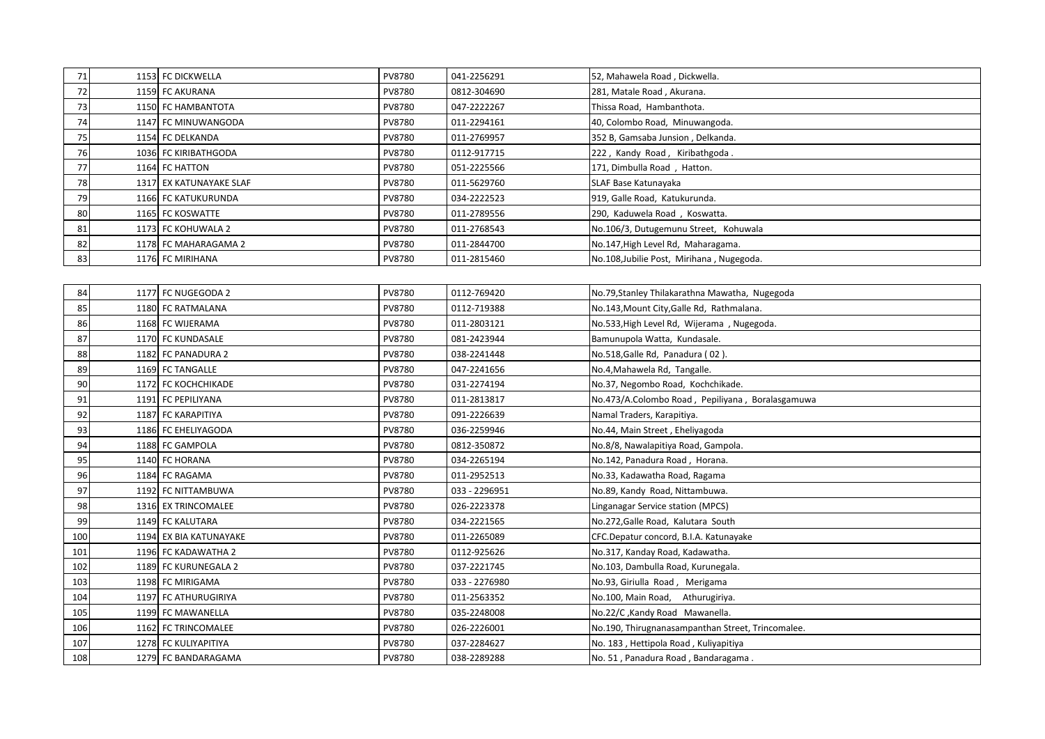| 71              | 1153 FC DICKWELLA       | PV8780        | 041-2256291 | 52, Mahawela Road, Dickwella.             |
|-----------------|-------------------------|---------------|-------------|-------------------------------------------|
| <b>721</b>      | 1159 FC AKURANA         | <b>PV8780</b> | 0812-304690 | 281, Matale Road, Akurana.                |
| 73              | 1150 FC HAMBANTOTA      | PV8780        | 047-2222267 | Thissa Road, Hambanthota.                 |
| 74              | 1147 FC MINUWANGODA     | PV8780        | 011-2294161 | 40, Colombo Road, Minuwangoda.            |
| 75 <sub>1</sub> | 1154 FC DELKANDA        | PV8780        | 011-2769957 | 352 B, Gamsaba Junsion, Delkanda.         |
| 76              | 1036 FC KIRIBATHGODA    | PV8780        | 0112-917715 | 222, Kandy Road, Kiribathgoda.            |
| 77 I            | 1164 FC HATTON          | PV8780        | 051-2225566 | 171, Dimbulla Road, Hatton.               |
| 78              | 1317 EX KATUNAYAKE SLAF | PV8780        | 011-5629760 | SLAF Base Katunayaka                      |
| 79              | 1166 FC KATUKURUNDA     | PV8780        | 034-2222523 | 919, Galle Road, Katukurunda.             |
| 80              | 1165 FC KOSWATTE        | PV8780        | 011-2789556 | 290, Kaduwela Road, Koswatta.             |
| 81              | 1173 FC KOHUWALA 2      | PV8780        | 011-2768543 | No.106/3, Dutugemunu Street, Kohuwala     |
| 821             | 1178 FC MAHARAGAMA 2    | PV8780        | 011-2844700 | No.147, High Level Rd, Maharagama.        |
| 83              | 1176 FC MIRIHANA        | PV8780        | 011-2815460 | No.108, Jubilie Post, Mirihana, Nugegoda. |

|  | <b>PV8780</b>                                                                                                                                                                                                                                                                                                                                                                                                                                                                                                                                                | 0112-769420   | No.79, Stanley Thilakarathna Mawatha, Nugegoda    |
|--|--------------------------------------------------------------------------------------------------------------------------------------------------------------------------------------------------------------------------------------------------------------------------------------------------------------------------------------------------------------------------------------------------------------------------------------------------------------------------------------------------------------------------------------------------------------|---------------|---------------------------------------------------|
|  | PV8780                                                                                                                                                                                                                                                                                                                                                                                                                                                                                                                                                       | 0112-719388   | No.143, Mount City, Galle Rd, Rathmalana.         |
|  | PV8780                                                                                                                                                                                                                                                                                                                                                                                                                                                                                                                                                       | 011-2803121   | No.533, High Level Rd, Wijerama, Nugegoda.        |
|  | PV8780                                                                                                                                                                                                                                                                                                                                                                                                                                                                                                                                                       | 081-2423944   | Bamunupola Watta, Kundasale.                      |
|  | PV8780                                                                                                                                                                                                                                                                                                                                                                                                                                                                                                                                                       | 038-2241448   | No.518, Galle Rd, Panadura (02).                  |
|  | PV8780                                                                                                                                                                                                                                                                                                                                                                                                                                                                                                                                                       | 047-2241656   | No.4, Mahawela Rd, Tangalle.                      |
|  | PV8780                                                                                                                                                                                                                                                                                                                                                                                                                                                                                                                                                       | 031-2274194   | No.37, Negombo Road, Kochchikade.                 |
|  | PV8780                                                                                                                                                                                                                                                                                                                                                                                                                                                                                                                                                       | 011-2813817   | No.473/A.Colombo Road, Pepiliyana, Boralasgamuwa  |
|  | PV8780                                                                                                                                                                                                                                                                                                                                                                                                                                                                                                                                                       | 091-2226639   | Namal Traders, Karapitiya.                        |
|  | PV8780                                                                                                                                                                                                                                                                                                                                                                                                                                                                                                                                                       | 036-2259946   | No.44, Main Street, Eheliyagoda                   |
|  | PV8780                                                                                                                                                                                                                                                                                                                                                                                                                                                                                                                                                       | 0812-350872   | No.8/8, Nawalapitiya Road, Gampola.               |
|  | PV8780                                                                                                                                                                                                                                                                                                                                                                                                                                                                                                                                                       | 034-2265194   | No.142, Panadura Road, Horana.                    |
|  | PV8780                                                                                                                                                                                                                                                                                                                                                                                                                                                                                                                                                       | 011-2952513   | No.33, Kadawatha Road, Ragama                     |
|  | PV8780                                                                                                                                                                                                                                                                                                                                                                                                                                                                                                                                                       | 033 - 2296951 | No.89, Kandy Road, Nittambuwa.                    |
|  | PV8780                                                                                                                                                                                                                                                                                                                                                                                                                                                                                                                                                       | 026-2223378   | Linganagar Service station (MPCS)                 |
|  | PV8780                                                                                                                                                                                                                                                                                                                                                                                                                                                                                                                                                       | 034-2221565   | No.272, Galle Road, Kalutara South                |
|  | PV8780                                                                                                                                                                                                                                                                                                                                                                                                                                                                                                                                                       | 011-2265089   | CFC.Depatur concord, B.I.A. Katunayake            |
|  | PV8780                                                                                                                                                                                                                                                                                                                                                                                                                                                                                                                                                       | 0112-925626   | No.317, Kanday Road, Kadawatha.                   |
|  | PV8780                                                                                                                                                                                                                                                                                                                                                                                                                                                                                                                                                       | 037-2221745   | No.103, Dambulla Road, Kurunegala.                |
|  | PV8780                                                                                                                                                                                                                                                                                                                                                                                                                                                                                                                                                       | 033 - 2276980 | No.93, Giriulla Road, Merigama                    |
|  | PV8780                                                                                                                                                                                                                                                                                                                                                                                                                                                                                                                                                       | 011-2563352   | No.100, Main Road, Athurugiriya.                  |
|  | PV8780                                                                                                                                                                                                                                                                                                                                                                                                                                                                                                                                                       | 035-2248008   | No.22/C, Kandy Road Mawanella.                    |
|  | PV8780                                                                                                                                                                                                                                                                                                                                                                                                                                                                                                                                                       | 026-2226001   | No.190, Thirugnanasampanthan Street, Trincomalee. |
|  | PV8780                                                                                                                                                                                                                                                                                                                                                                                                                                                                                                                                                       | 037-2284627   | No. 183, Hettipola Road, Kuliyapitiya             |
|  | PV8780                                                                                                                                                                                                                                                                                                                                                                                                                                                                                                                                                       | 038-2289288   | No. 51, Panadura Road, Bandaragama.               |
|  | 1177 FC NUGEGODA 2<br>1180 FC RATMALANA<br>1168 FC WIJERAMA<br>1170 FC KUNDASALE<br>1182 FC PANADURA 2<br>1169 FC TANGALLE<br>1172 FC KOCHCHIKADE<br>1191 FC PEPILIYANA<br>1187 FC KARAPITIYA<br>1186 FC EHELIYAGODA<br>1188 FC GAMPOLA<br>1140 FC HORANA<br>1184 FC RAGAMA<br>1192 FC NITTAMBUWA<br>1316 EX TRINCOMALEE<br>1149 FC KALUTARA<br>1194 EX BIA KATUNAYAKE<br>1196 FC KADAWATHA 2<br>1189 FC KURUNEGALA 2<br>1198 FC MIRIGAMA<br>1197 FC ATHURUGIRIYA<br>1199 FC MAWANELLA<br>1162 FC TRINCOMALEE<br>1278 FC KULIYAPITIYA<br>1279 FC BANDARAGAMA |               |                                                   |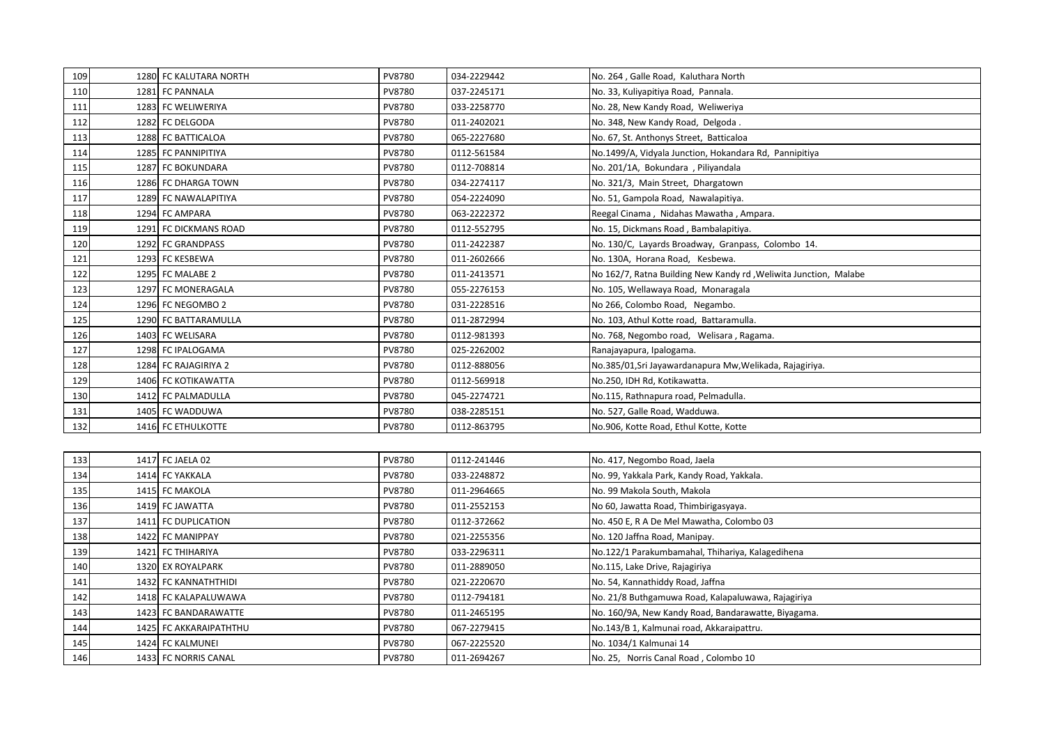| 109 | 1280 FC KALUTARA NORTH  | PV8780 | 034-2229442 | No. 264, Galle Road, Kaluthara North                             |
|-----|-------------------------|--------|-------------|------------------------------------------------------------------|
| 110 | 1281 FC PANNALA         | PV8780 | 037-2245171 | No. 33, Kuliyapitiya Road, Pannala.                              |
| 111 | 1283 FC WELIWERIYA      | PV8780 | 033-2258770 | No. 28, New Kandy Road, Weliweriya                               |
| 112 | 1282 FC DELGODA         | PV8780 | 011-2402021 | No. 348, New Kandy Road, Delgoda.                                |
| 113 | 1288 FC BATTICALOA      | PV8780 | 065-2227680 | No. 67, St. Anthonys Street, Batticaloa                          |
| 114 | 1285 FC PANNIPITIYA     | PV8780 | 0112-561584 | No.1499/A, Vidyala Junction, Hokandara Rd, Pannipitiya           |
| 115 | 1287 FC BOKUNDARA       | PV8780 | 0112-708814 | No. 201/1A, Bokundara, Piliyandala                               |
| 116 | 1286<br>FC DHARGA TOWN  | PV8780 | 034-2274117 | No. 321/3, Main Street, Dhargatown                               |
| 117 | 1289<br>FC NAWALAPITIYA | PV8780 | 054-2224090 | No. 51, Gampola Road, Nawalapitiya.                              |
| 118 | 1294 FC AMPARA          | PV8780 | 063-2222372 | Reegal Cinama, Nidahas Mawatha, Ampara.                          |
| 119 | 1291 FC DICKMANS ROAD   | PV8780 | 0112-552795 | No. 15, Dickmans Road, Bambalapitiya.                            |
| 120 | 1292 FC GRANDPASS       | PV8780 | 011-2422387 | No. 130/C, Layards Broadway, Granpass, Colombo 14.               |
| 121 | 1293 FC KESBEWA         | PV8780 | 011-2602666 | No. 130A, Horana Road, Kesbewa.                                  |
| 122 | 1295 FC MALABE 2        | PV8780 | 011-2413571 | No 162/7, Ratna Building New Kandy rd, Weliwita Junction, Malabe |
| 123 | 1297 FC MONERAGALA      | PV8780 | 055-2276153 | No. 105, Wellawaya Road, Monaragala                              |
| 124 | 1296 FC NEGOMBO 2       | PV8780 | 031-2228516 | No 266, Colombo Road, Negambo.                                   |
| 125 | 1290 FC BATTARAMULLA    | PV8780 | 011-2872994 | No. 103, Athul Kotte road, Battaramulla.                         |
| 126 | 1403 FC WELISARA        | PV8780 | 0112-981393 | No. 768, Negombo road, Welisara, Ragama.                         |
| 127 | 1298 FC IPALOGAMA       | PV8780 | 025-2262002 | Ranajayapura, Ipalogama.                                         |
| 128 | 1284 FC RAJAGIRIYA 2    | PV8780 | 0112-888056 | No.385/01, Sri Jayawardanapura Mw, Welikada, Rajagiriya.         |
| 129 | 1406 FC KOTIKAWATTA     | PV8780 | 0112-569918 | No.250, IDH Rd, Kotikawatta.                                     |
| 130 | 1412 FC PALMADULLA      | PV8780 | 045-2274721 | No.115, Rathnapura road, Pelmadulla.                             |
| 131 | 1405 FC WADDUWA         | PV8780 | 038-2285151 | No. 527, Galle Road, Wadduwa.                                    |
| 132 | 1416 FC ETHULKOTTE      | PV8780 | 0112-863795 | No.906, Kotte Road, Ethul Kotte, Kotte                           |
|     |                         |        |             |                                                                  |
| 133 | 1417 FC JAELA 02        | PV8780 | 0112-241446 | No. 417, Negombo Road, Jaela                                     |
| 134 | 1414 FC YAKKALA         | PV8780 | 033-2248872 | No. 99, Yakkala Park, Kandy Road, Yakkala.                       |
| 135 | 1415 FC MAKOLA          | PV8780 | 011-2964665 | No. 99 Makola South, Makola                                      |
| 136 | 1419 FC JAWATTA         | PV8780 | 011-2552153 | No 60, Jawatta Road, Thimbirigasyaya.                            |
| 137 | 1411 FC DUPLICATION     | PV8780 | 0112-372662 | No. 450 E, R A De Mel Mawatha, Colombo 03                        |
| 138 | 1422 FC MANIPPAY        | PV8780 | 021-2255356 | No. 120 Jaffna Road, Manipay.                                    |
| 139 | 1421<br>FC THIHARIYA    | PV8780 | 033-2296311 | No.122/1 Parakumbamahal, Thihariya, Kalagedihena                 |
| 140 | 1320 EX ROYALPARK       | PV8780 | 011-2889050 | No.115, Lake Drive, Rajagiriya                                   |
| 141 | 1432 FC KANNATHTHIDI    | PV8780 | 021-2220670 | No. 54, Kannathiddy Road, Jaffna                                 |
| 142 | 1418 FC KALAPALUWAWA    | PV8780 | 0112-794181 | No. 21/8 Buthgamuwa Road, Kalapaluwawa, Rajagiriya               |
| 143 | 1423 FC BANDARAWATTE    | PV8780 | 011-2465195 | No. 160/9A, New Kandy Road, Bandarawatte, Biyagama.              |
| 144 | 1425 FC AKKARAIPATHTHU  | PV8780 | 067-2279415 | No.143/B 1, Kalmunai road, Akkaraipattru.                        |
| 145 | 1424 FC KALMUNEI        | PV8780 | 067-2225520 | No. 1034/1 Kalmunai 14                                           |
| 146 | 1433 FC NORRIS CANAL    | PV8780 | 011-2694267 | No. 25, Norris Canal Road, Colombo 10                            |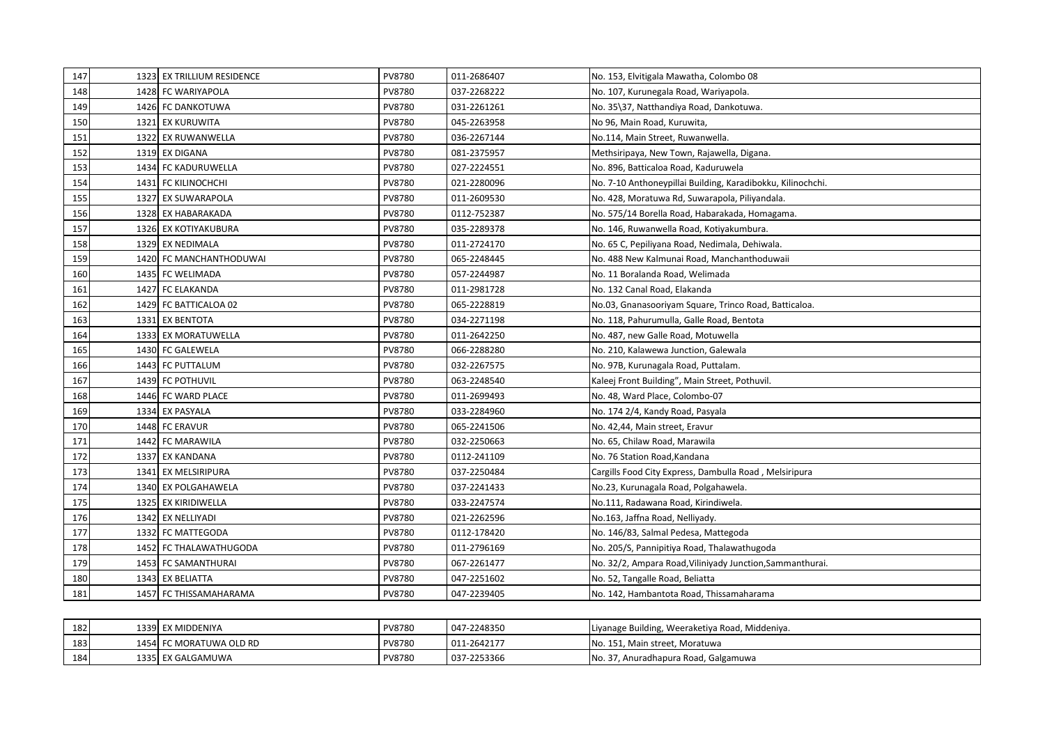| 147 |      | 1323 EX TRILLIUM RESIDENCE | PV8780 | 011-2686407 | No. 153, Elvitigala Mawatha, Colombo 08                     |
|-----|------|----------------------------|--------|-------------|-------------------------------------------------------------|
| 148 |      | 1428 FC WARIYAPOLA         | PV8780 | 037-2268222 | No. 107, Kurunegala Road, Wariyapola.                       |
| 149 |      | 1426 FC DANKOTUWA          | PV8780 | 031-2261261 | No. 35\37, Natthandiya Road, Dankotuwa.                     |
| 150 | 1321 | EX KURUWITA                | PV8780 | 045-2263958 | No 96, Main Road, Kuruwita,                                 |
| 151 |      | 1322 EX RUWANWELLA         | PV8780 | 036-2267144 | No.114, Main Street, Ruwanwella.                            |
| 152 |      | 1319 EX DIGANA             | PV8780 | 081-2375957 | Methsiripaya, New Town, Rajawella, Digana.                  |
| 153 |      | 1434 FC KADURUWELLA        | PV8780 | 027-2224551 | No. 896, Batticaloa Road, Kaduruwela                        |
| 154 |      | 1431 FC KILINOCHCHI        | PV8780 | 021-2280096 | No. 7-10 Anthoneypillai Building, Karadibokku, Kilinochchi. |
| 155 |      | 1327 EX SUWARAPOLA         | PV8780 | 011-2609530 | No. 428, Moratuwa Rd, Suwarapola, Piliyandala.              |
| 156 |      | 1328 EX HABARAKADA         | PV8780 | 0112-752387 | No. 575/14 Borella Road, Habarakada, Homagama.              |
| 157 |      | 1326 EX KOTIYAKUBURA       | PV8780 | 035-2289378 | No. 146, Ruwanwella Road, Kotiyakumbura.                    |
| 158 |      | 1329 EX NEDIMALA           | PV8780 | 011-2724170 | No. 65 C, Pepiliyana Road, Nedimala, Dehiwala.              |
| 159 | 1420 | FC MANCHANTHODUWAI         | PV8780 | 065-2248445 | No. 488 New Kalmunai Road, Manchanthoduwaii                 |
| 160 |      | 1435 FC WELIMADA           | PV8780 | 057-2244987 | No. 11 Boralanda Road, Welimada                             |
| 161 |      | 1427 FC ELAKANDA           | PV8780 | 011-2981728 | No. 132 Canal Road, Elakanda                                |
| 162 |      | 1429 FC BATTICALOA 02      | PV8780 | 065-2228819 | No.03, Gnanasooriyam Square, Trinco Road, Batticaloa.       |
| 163 |      | 1331 EX BENTOTA            | PV8780 | 034-2271198 | No. 118, Pahurumulla, Galle Road, Bentota                   |
| 164 |      | 1333 EX MORATUWELLA        | PV8780 | 011-2642250 | No. 487, new Galle Road, Motuwella                          |
| 165 |      | 1430 FC GALEWELA           | PV8780 | 066-2288280 | No. 210, Kalawewa Junction, Galewala                        |
| 166 |      | 1443 FC PUTTALUM           | PV8780 | 032-2267575 | No. 97B, Kurunagala Road, Puttalam.                         |
| 167 |      | 1439 FC POTHUVIL           | PV8780 | 063-2248540 | Kaleej Front Building", Main Street, Pothuvil.              |
| 168 |      | 1446 FC WARD PLACE         | PV8780 | 011-2699493 | No. 48, Ward Place, Colombo-07                              |
| 169 | 1334 | <b>EX PASYALA</b>          | PV8780 | 033-2284960 | No. 174 2/4, Kandy Road, Pasyala                            |
| 170 |      | 1448 FC ERAVUR             | PV8780 | 065-2241506 | No. 42,44, Main street, Eravur                              |
| 171 |      | 1442 FC MARAWILA           | PV8780 | 032-2250663 | No. 65, Chilaw Road, Marawila                               |
| 172 |      | 1337 EX KANDANA            | PV8780 | 0112-241109 | No. 76 Station Road, Kandana                                |
| 173 |      | 1341 EX MELSIRIPURA        | PV8780 | 037-2250484 | Cargills Food City Express, Dambulla Road, Melsiripura      |
| 174 |      | 1340 EX POLGAHAWELA        | PV8780 | 037-2241433 | No.23, Kurunagala Road, Polgahawela.                        |
| 175 |      | 1325 EX KIRIDIWELLA        | PV8780 | 033-2247574 | No.111, Radawana Road, Kirindiwela.                         |
| 176 |      | 1342 EX NELLIYADI          | PV8780 | 021-2262596 | No.163, Jaffna Road, Nelliyady.                             |
| 177 |      | 1332 FC MATTEGODA          | PV8780 | 0112-178420 | No. 146/83, Salmal Pedesa, Mattegoda                        |
| 178 |      | 1452 FC THALAWATHUGODA     | PV8780 | 011-2796169 | No. 205/S, Pannipitiya Road, Thalawathugoda                 |
| 179 |      | 1453 FC SAMANTHURAI        | PV8780 | 067-2261477 | No. 32/2, Ampara Road, Viliniyady Junction, Sammanthurai.   |
| 180 |      | 1343 EX BELIATTA           | PV8780 | 047-2251602 | No. 52, Tangalle Road, Beliatta                             |
| 181 |      | 1457 FC THISSAMAHARAMA     | PV8780 | 047-2239405 | No. 142, Hambantota Road, Thissamaharama                    |

| 182 | 1339 I | EX MIDDENIYA      | PV8780 | 047-2248350 | Liyanage Building, Weeraketiya Road, Middeniya. |
|-----|--------|-------------------|--------|-------------|-------------------------------------------------|
| 183 |        | C MORATUWA OLD RD | PV8780 | 011-2642177 | No. 151, Main street, Moratuwa                  |
| 184 |        | 1335 EX GALGAMUWA | PV8780 | 037-2253366 | ', Anuradhapura Road, Galgamuwa<br>No. 37.      |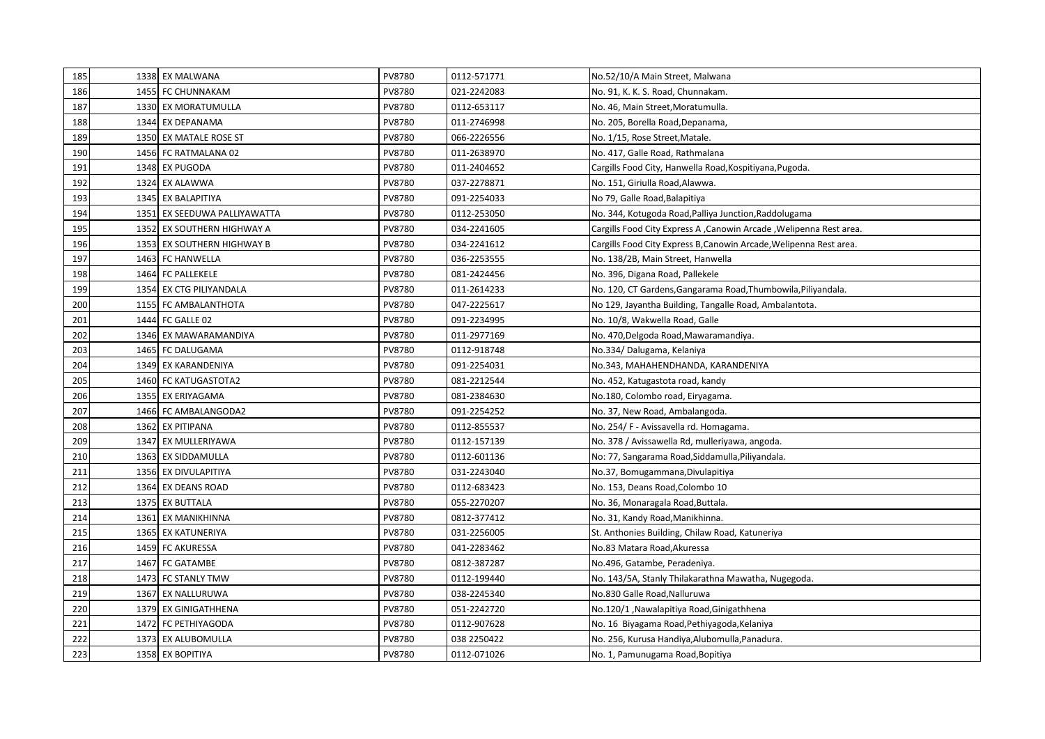| 185 | 1338 EX MALWANA              | PV8780 | 0112-571771 | No.52/10/A Main Street, Malwana                                      |
|-----|------------------------------|--------|-------------|----------------------------------------------------------------------|
| 186 | 1455 FC CHUNNAKAM            | PV8780 | 021-2242083 | No. 91, K. K. S. Road, Chunnakam.                                    |
| 187 | 1330 EX MORATUMULLA          | PV8780 | 0112-653117 | No. 46, Main Street, Moratumulla.                                    |
| 188 | 1344 EX DEPANAMA             | PV8780 | 011-2746998 | No. 205, Borella Road, Depanama,                                     |
| 189 | 1350 EX MATALE ROSE ST       | PV8780 | 066-2226556 | No. 1/15, Rose Street, Matale.                                       |
| 190 | 1456 FC RATMALANA 02         | PV8780 | 011-2638970 | No. 417, Galle Road, Rathmalana                                      |
| 191 | 1348 EX PUGODA               | PV8780 | 011-2404652 | Cargills Food City, Hanwella Road, Kospitiyana, Pugoda.              |
| 192 | 1324 EX ALAWWA               | PV8780 | 037-2278871 | No. 151, Giriulla Road, Alawwa.                                      |
| 193 | 1345 EX BALAPITIYA           | PV8780 | 091-2254033 | No 79, Galle Road, Balapitiya                                        |
| 194 | 1351 EX SEEDUWA PALLIYAWATTA | PV8780 | 0112-253050 | No. 344, Kotugoda Road, Palliya Junction, Raddolugama                |
| 195 | 1352 EX SOUTHERN HIGHWAY A   | PV8780 | 034-2241605 | Cargills Food City Express A , Canowin Arcade , Welipenna Rest area. |
| 196 | 1353 EX SOUTHERN HIGHWAY B   | PV8780 | 034-2241612 | Cargills Food City Express B, Canowin Arcade, Welipenna Rest area.   |
| 197 | 1463 FC HANWELLA             | PV8780 | 036-2253555 | No. 138/2B, Main Street, Hanwella                                    |
| 198 | 1464 FC PALLEKELE            | PV8780 | 081-2424456 | No. 396, Digana Road, Pallekele                                      |
| 199 | 1354 EX CTG PILIYANDALA      | PV8780 | 011-2614233 | No. 120, CT Gardens, Gangarama Road, Thumbowila, Piliyandala.        |
| 200 | 1155 FC AMBALANTHOTA         | PV8780 | 047-2225617 | No 129, Jayantha Building, Tangalle Road, Ambalantota.               |
| 201 | 1444 FC GALLE 02             | PV8780 | 091-2234995 | No. 10/8, Wakwella Road, Galle                                       |
| 202 | 1346 EX MAWARAMANDIYA        | PV8780 | 011-2977169 | No. 470, Delgoda Road, Mawaramandiya.                                |
| 203 | 1465 FC DALUGAMA             | PV8780 | 0112-918748 | No.334/Dalugama, Kelaniya                                            |
| 204 | 1349 EX KARANDENIYA          | PV8780 | 091-2254031 | No.343, MAHAHENDHANDA, KARANDENIYA                                   |
| 205 | 1460 FC KATUGASTOTA2         | PV8780 | 081-2212544 | No. 452, Katugastota road, kandy                                     |
| 206 | 1355 EX ERIYAGAMA            | PV8780 | 081-2384630 | No.180, Colombo road, Eiryagama.                                     |
| 207 | 1466 FC AMBALANGODA2         | PV8780 | 091-2254252 | No. 37, New Road, Ambalangoda.                                       |
| 208 | 1362 EX PITIPANA             | PV8780 | 0112-855537 | No. 254/ F - Avissavella rd. Homagama.                               |
| 209 | 1347 EX MULLERIYAWA          | PV8780 | 0112-157139 | No. 378 / Avissawella Rd, mulleriyawa, angoda.                       |
| 210 | 1363 EX SIDDAMULLA           | PV8780 | 0112-601136 | No: 77, Sangarama Road, Siddamulla, Piliyandala.                     |
| 211 | 1356 EX DIVULAPITIYA         | PV8780 | 031-2243040 | No.37, Bomugammana, Divulapitiya                                     |
| 212 | 1364 EX DEANS ROAD           | PV8780 | 0112-683423 | No. 153, Deans Road, Colombo 10                                      |
| 213 | 1375 EX BUTTALA              | PV8780 | 055-2270207 | No. 36, Monaragala Road, Buttala.                                    |
| 214 | 1361 EX MANIKHINNA           | PV8780 | 0812-377412 | No. 31, Kandy Road, Manikhinna.                                      |
| 215 | 1365 EX KATUNERIYA           | PV8780 | 031-2256005 | St. Anthonies Building, Chilaw Road, Katuneriya                      |
| 216 | 1459 FC AKURESSA             | PV8780 | 041-2283462 | No.83 Matara Road, Akuressa                                          |
| 217 | 1467 FC GATAMBE              | PV8780 | 0812-387287 | No.496, Gatambe, Peradeniya.                                         |
| 218 | 1473 FC STANLY TMW           | PV8780 | 0112-199440 | No. 143/5A, Stanly Thilakarathna Mawatha, Nugegoda.                  |
| 219 | 1367 EX NALLURUWA            | PV8780 | 038-2245340 | No.830 Galle Road, Nalluruwa                                         |
| 220 | 1379 EX GINIGATHHENA         | PV8780 | 051-2242720 | No.120/1, Nawalapitiya Road, Ginigathhena                            |
| 221 | 1472 FC PETHIYAGODA          | PV8780 | 0112-907628 | No. 16 Biyagama Road, Pethiyagoda, Kelaniya                          |
| 222 | 1373 EX ALUBOMULLA           | PV8780 | 038 2250422 | No. 256, Kurusa Handiya, Alubomulla, Panadura.                       |
| 223 | 1358 EX BOPITIYA             | PV8780 | 0112-071026 | No. 1, Pamunugama Road, Bopitiya                                     |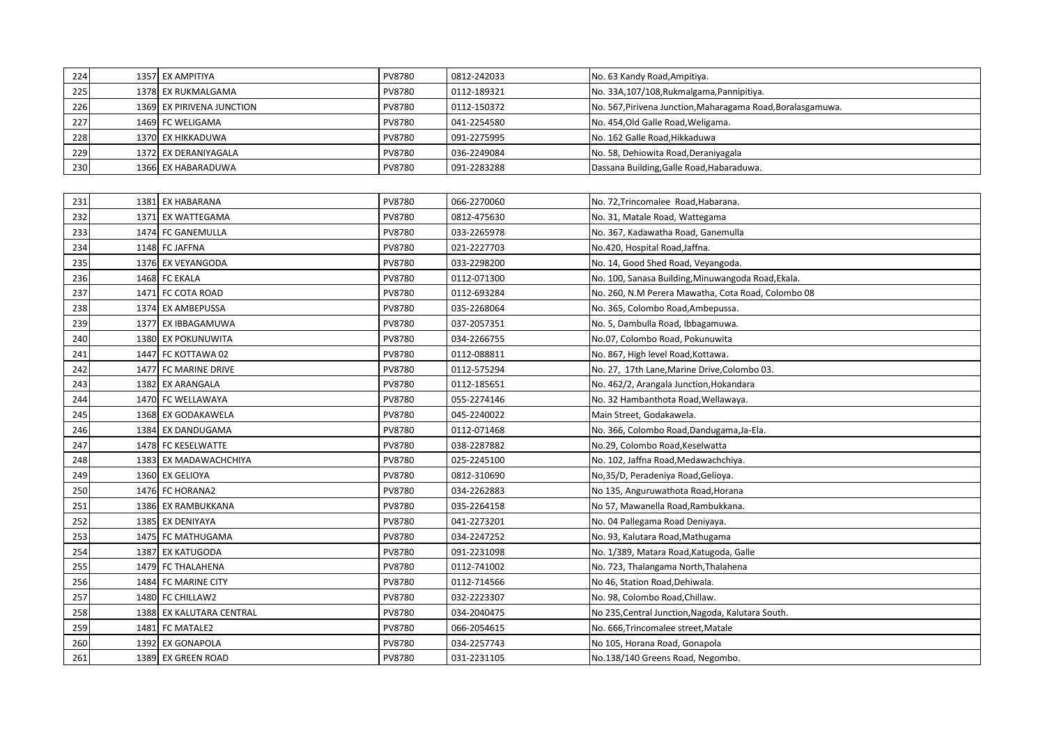| 224 | 1357 EX AMPITIYA          | PV8780        | 0812-242033 | No. 63 Kandy Road, Ampitiya.                                |
|-----|---------------------------|---------------|-------------|-------------------------------------------------------------|
| 225 | 1378 EX RUKMALGAMA        | PV8780        | 0112-189321 | No. 33A, 107/108, Rukmalgama, Pannipitiya.                  |
| 226 | 1369 EX PIRIVENA JUNCTION | PV8780        | 0112-150372 | No. 567, Pirivena Junction, Maharagama Road, Boralasgamuwa. |
| 227 | 1469 FC WELIGAMA          | <b>PV8780</b> | 041-2254580 | No. 454, Old Galle Road, Weligama.                          |
| 228 | 1370 EX HIKKADUWA         | PV8780        | 091-2275995 | No. 162 Galle Road, Hikkaduwa                               |
| 229 | 1372 EX DERANIYAGALA      | <b>PV8780</b> | 036-2249084 | No. 58, Dehiowita Road, Deraniyagala                        |
| 230 | 1366 EX HABARADUWA        | PV8780        | 091-2283288 | Dassana Building, Galle Road, Habaraduwa.                   |

| 231 | 1381 EX HABARANA         | PV8780 | 066-2270060 | No. 72, Trincomalee Road, Habarana.                |
|-----|--------------------------|--------|-------------|----------------------------------------------------|
| 232 | 1371 EX WATTEGAMA        | PV8780 | 0812-475630 | No. 31, Matale Road, Wattegama                     |
| 233 | 1474 FC GANEMULLA        | PV8780 | 033-2265978 | No. 367, Kadawatha Road, Ganemulla                 |
| 234 | 1148 FC JAFFNA           | PV8780 | 021-2227703 | No.420, Hospital Road, Jaffna.                     |
| 235 | 1376 EX VEYANGODA        | PV8780 | 033-2298200 | No. 14, Good Shed Road, Veyangoda.                 |
| 236 | 1468 FC EKALA            | PV8780 | 0112-071300 | No. 100, Sanasa Building, Minuwangoda Road, Ekala. |
| 237 | 1471 FC COTA ROAD        | PV8780 | 0112-693284 | No. 260, N.M Perera Mawatha, Cota Road, Colombo 08 |
| 238 | 1374 EX AMBEPUSSA        | PV8780 | 035-2268064 | No. 365, Colombo Road, Ambepussa.                  |
| 239 | 1377 EX IBBAGAMUWA       | PV8780 | 037-2057351 | No. 5, Dambulla Road, Ibbagamuwa.                  |
| 240 | 1380 EX POKUNUWITA       | PV8780 | 034-2266755 | No.07, Colombo Road, Pokunuwita                    |
| 241 | 1447 FC KOTTAWA 02       | PV8780 | 0112-088811 | No. 867, High level Road, Kottawa.                 |
| 242 | 1477 FC MARINE DRIVE     | PV8780 | 0112-575294 | No. 27, 17th Lane, Marine Drive, Colombo 03.       |
| 243 | 1382 EX ARANGALA         | PV8780 | 0112-185651 | No. 462/2, Arangala Junction, Hokandara            |
| 244 | 1470 FC WELLAWAYA        | PV8780 | 055-2274146 | No. 32 Hambanthota Road, Wellawaya.                |
| 245 | 1368 EX GODAKAWELA       | PV8780 | 045-2240022 | Main Street, Godakawela.                           |
| 246 | 1384 EX DANDUGAMA        | PV8780 | 0112-071468 | No. 366, Colombo Road, Dandugama, Ja-Ela.          |
| 247 | 1478 FC KESELWATTE       | PV8780 | 038-2287882 | No.29, Colombo Road, Keselwatta                    |
| 248 | 1383 EX MADAWACHCHIYA    | PV8780 | 025-2245100 | No. 102, Jaffna Road, Medawachchiya.               |
| 249 | 1360 EX GELIOYA          | PV8780 | 0812-310690 | No.35/D, Peradeniya Road, Gelioya.                 |
| 250 | 1476 FC HORANA2          | PV8780 | 034-2262883 | No 135, Anguruwathota Road, Horana                 |
| 251 | 1386 EX RAMBUKKANA       | PV8780 | 035-2264158 | No 57, Mawanella Road, Rambukkana.                 |
| 252 | 1385 EX DENIYAYA         | PV8780 | 041-2273201 | No. 04 Pallegama Road Deniyaya.                    |
| 253 | 1475 FC MATHUGAMA        | PV8780 | 034-2247252 | No. 93, Kalutara Road, Mathugama                   |
| 254 | 1387 EX KATUGODA         | PV8780 | 091-2231098 | No. 1/389, Matara Road, Katugoda, Galle            |
| 255 | 1479 FC THALAHENA        | PV8780 | 0112-741002 | No. 723, Thalangama North, Thalahena               |
| 256 | 1484 FC MARINE CITY      | PV8780 | 0112-714566 | No 46, Station Road, Dehiwala.                     |
| 257 | 1480 FC CHILLAW2         | PV8780 | 032-2223307 | No. 98, Colombo Road, Chillaw.                     |
| 258 | 1388 EX KALUTARA CENTRAL | PV8780 | 034-2040475 | No 235, Central Junction, Nagoda, Kalutara South.  |
| 259 | 1481 FC MATALE2          | PV8780 | 066-2054615 | No. 666, Trincomalee street, Matale                |
| 260 | 1392 EX GONAPOLA         | PV8780 | 034-2257743 | No 105, Horana Road, Gonapola                      |
| 261 | 1389 EX GREEN ROAD       | PV8780 | 031-2231105 | No.138/140 Greens Road, Negombo.                   |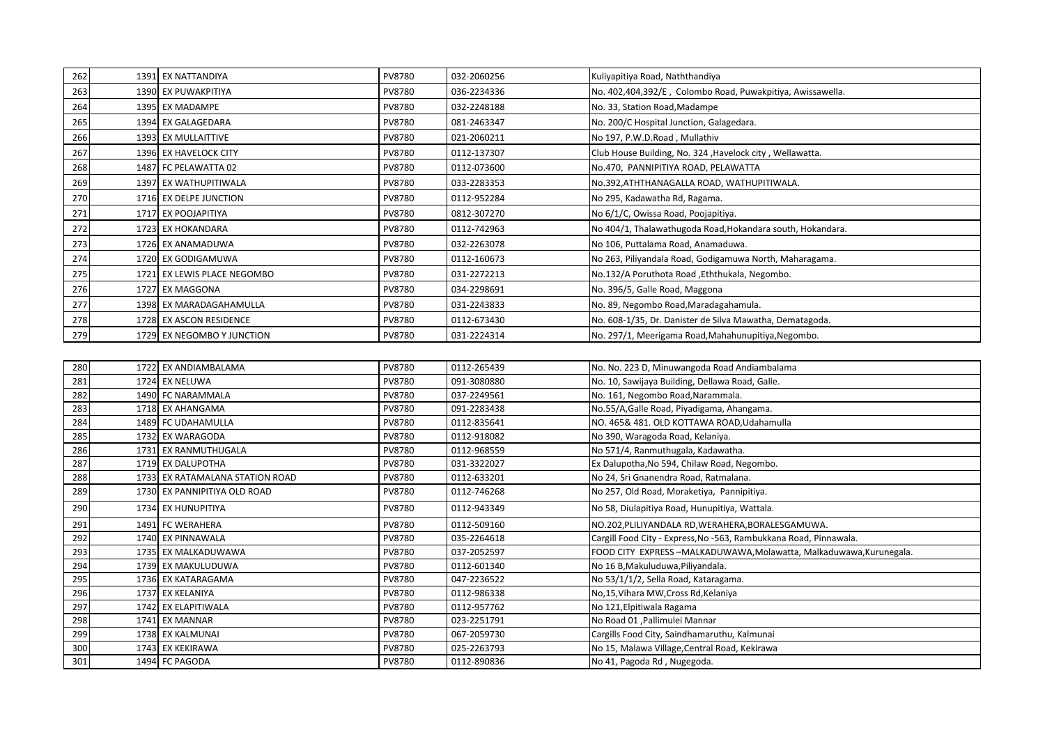| 262 | 1391 EX NATTANDIYA          | PV8780        | 032-2060256 | Kuliyapitiya Road, Naththandiya                            |
|-----|-----------------------------|---------------|-------------|------------------------------------------------------------|
| 263 | 1390 EX PUWAKPITIYA         | <b>PV8780</b> | 036-2234336 | No. 402,404,392/E, Colombo Road, Puwakpitiya, Awissawella. |
| 264 | 1395 EX MADAMPE             | <b>PV8780</b> | 032-2248188 | No. 33, Station Road, Madampe                              |
| 265 | 1394 EX GALAGEDARA          | <b>PV8780</b> | 081-2463347 | No. 200/C Hospital Junction, Galagedara.                   |
| 266 | 1393 EX MULLAITTIVE         | <b>PV8780</b> | 021-2060211 | No 197, P.W.D.Road, Mullathiv                              |
| 267 | 1396 EX HAVELOCK CITY       | <b>PV8780</b> | 0112-137307 | Club House Building, No. 324, Havelock city, Wellawatta.   |
| 268 | 1487 FC PELAWATTA 02        | PV8780        | 0112-073600 | No.470, PANNIPITIYA ROAD, PELAWATTA                        |
| 269 | 1397 EX WATHUPITIWALA       | <b>PV8780</b> | 033-2283353 | No.392, ATHTHANAGALLA ROAD, WATHUPITIWALA.                 |
| 270 | 1716 EX DELPE JUNCTION      | <b>PV8780</b> | 0112-952284 | No 295, Kadawatha Rd, Ragama.                              |
| 271 | 1717 EX POOJAPITIYA         | <b>PV8780</b> | 0812-307270 | No 6/1/C, Owissa Road, Poojapitiya.                        |
| 272 | 1723 EX HOKANDARA           | <b>PV8780</b> | 0112-742963 | No 404/1, Thalawathugoda Road, Hokandara south, Hokandara. |
| 273 | 1726 EX ANAMADUWA           | <b>PV8780</b> | 032-2263078 | No 106, Puttalama Road, Anamaduwa.                         |
| 274 | 1720 EX GODIGAMUWA          | <b>PV8780</b> | 0112-160673 | No 263, Piliyandala Road, Godigamuwa North, Maharagama.    |
| 275 | 1721 EX LEWIS PLACE NEGOMBO | <b>PV8780</b> | 031-2272213 | No.132/A Poruthota Road , Eththukala, Negombo.             |
| 276 | 1727 EX MAGGONA             | <b>PV8780</b> | 034-2298691 | No. 396/5, Galle Road, Maggona                             |
| 277 | 1398 EX MARADAGAHAMULLA     | <b>PV8780</b> | 031-2243833 | No. 89, Negombo Road, Maradagahamula.                      |
| 278 | 1728 EX ASCON RESIDENCE     | PV8780        | 0112-673430 | No. 608-1/35, Dr. Danister de Silva Mawatha, Dematagoda.   |
| 279 | 1729 EX NEGOMBO Y JUNCTION  | <b>PV8780</b> | 031-2224314 | No. 297/1, Meerigama Road, Mahahunupitiya, Negombo.        |
|     |                             |               |             |                                                            |

| 280 | 1722 EX ANDIAMBALAMA            | PV8780        | 0112-265439 | No. No. 223 D, Minuwangoda Road Andiambalama                       |
|-----|---------------------------------|---------------|-------------|--------------------------------------------------------------------|
| 281 | 1724 EX NELUWA                  | <b>PV8780</b> | 091-3080880 | No. 10, Sawijaya Building, Dellawa Road, Galle.                    |
| 282 | 1490 FC NARAMMALA               | PV8780        | 037-2249561 | No. 161, Negombo Road, Narammala.                                  |
| 283 | 1718 EX AHANGAMA                | PV8780        | 091-2283438 | No.55/A, Galle Road, Piyadigama, Ahangama.                         |
| 284 | 1489 FC UDAHAMULLA              | <b>PV8780</b> | 0112-835641 | NO. 465& 481. OLD KOTTAWA ROAD, Udahamulla                         |
| 285 | 1732 EX WARAGODA                | <b>PV8780</b> | 0112-918082 | No 390, Waragoda Road, Kelaniya.                                   |
| 286 | 1731 EX RANMUTHUGALA            | PV8780        | 0112-968559 | No 571/4, Ranmuthugala, Kadawatha.                                 |
| 287 | 1719 EX DALUPOTHA               | <b>PV8780</b> | 031-3322027 | Ex Dalupotha, No 594, Chilaw Road, Negombo.                        |
| 288 | 1733 EX RATAMALANA STATION ROAD | <b>PV8780</b> | 0112-633201 | No 24, Sri Gnanendra Road, Ratmalana.                              |
| 289 | 1730 EX PANNIPITIYA OLD ROAD    | <b>PV8780</b> | 0112-746268 | No 257, Old Road, Moraketiya, Pannipitiya.                         |
| 290 | 1734 EX HUNUPITIYA              | <b>PV8780</b> | 0112-943349 | No 58, Diulapitiya Road, Hunupitiya, Wattala.                      |
| 291 | 1491 FC WERAHERA                | <b>PV8780</b> | 0112-509160 | NO.202, PLILIYANDALA RD, WERAHERA, BORALESGAMUWA.                  |
| 292 | 1740 EX PINNAWALA               | PV8780        | 035-2264618 | Cargill Food City - Express, No -563, Rambukkana Road, Pinnawala.  |
| 293 | 1735 EX MALKADUWAWA             | <b>PV8780</b> | 037-2052597 | FOOD CITY EXPRESS-MALKADUWAWA, Molawatta, Malkaduwawa, Kurunegala. |
| 294 | 1739 EX MAKULUDUWA              | <b>PV8780</b> | 0112-601340 | No 16 B, Makuluduwa, Piliyandala.                                  |
| 295 | 1736 EX KATARAGAMA              | <b>PV8780</b> | 047-2236522 | No 53/1/1/2, Sella Road, Kataragama.                               |
| 296 | 1737 EX KELANIYA                | <b>PV8780</b> | 0112-986338 | No,15, Vihara MW, Cross Rd, Kelaniya                               |
| 297 | 1742 EX ELAPITIWALA             | <b>PV8780</b> | 0112-957762 | No 121, Elpitiwala Ragama                                          |
| 298 | 1741 EX MANNAR                  | PV8780        | 023-2251791 | No Road 01, Pallimulei Mannar                                      |
| 299 | 1738 EX KALMUNAI                | <b>PV8780</b> | 067-2059730 | Cargills Food City, Saindhamaruthu, Kalmunai                       |
| 300 | 1743 EX KEKIRAWA                | <b>PV8780</b> | 025-2263793 | No 15, Malawa Village, Central Road, Kekirawa                      |
| 301 | 1494 FC PAGODA                  | PV8780        | 0112-890836 | No 41, Pagoda Rd, Nugegoda.                                        |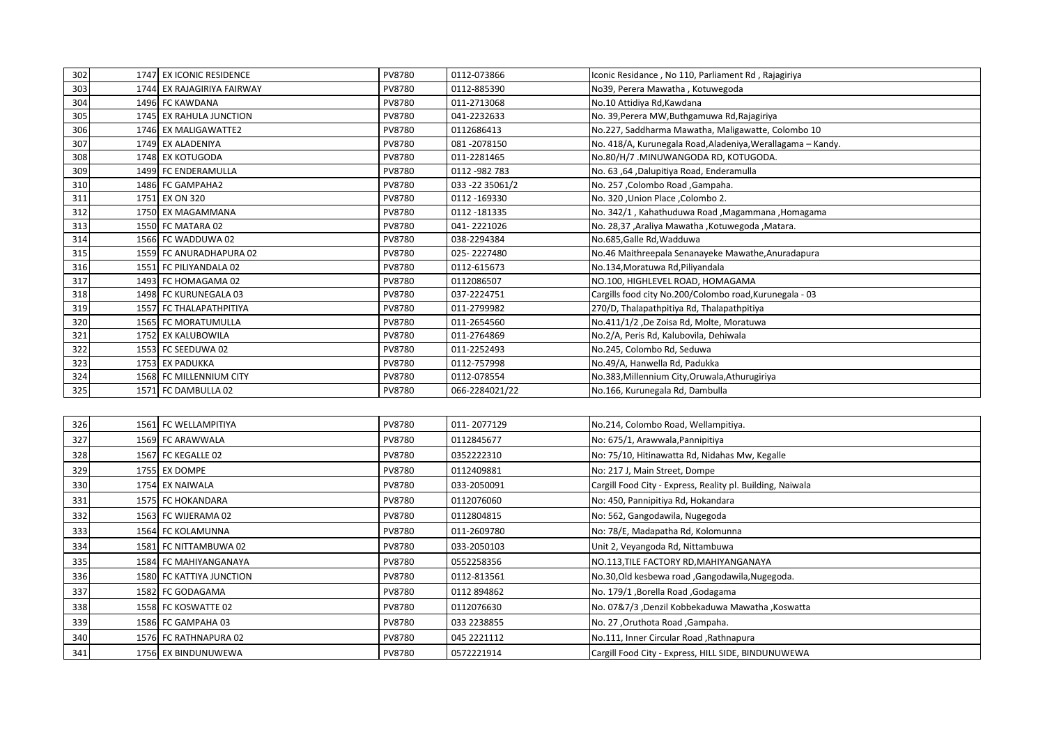| 302 | 1747 EX ICONIC RESIDENCE   | PV8780        | 0112-073866      | Iconic Residance, No 110, Parliament Rd, Rajagiriya         |
|-----|----------------------------|---------------|------------------|-------------------------------------------------------------|
| 303 | 1744 EX RAJAGIRIYA FAIRWAY | <b>PV8780</b> | 0112-885390      | No39, Perera Mawatha, Kotuwegoda                            |
| 304 | 1496 FC KAWDANA            | PV8780        | 011-2713068      | No.10 Attidiya Rd, Kawdana                                  |
| 305 | 1745 EX RAHULA JUNCTION    | <b>PV8780</b> | 041-2232633      | No. 39, Perera MW, Buthgamuwa Rd, Rajagiriya                |
| 306 | 1746 EX MALIGAWATTE2       | PV8780        | 0112686413       | No.227, Saddharma Mawatha, Maligawatte, Colombo 10          |
| 307 | 1749 EX ALADENIYA          | PV8780        | 081-2078150      | No. 418/A, Kurunegala Road, Aladeniya, Werallagama – Kandy. |
| 308 | 1748 EX KOTUGODA           | <b>PV8780</b> | 011-2281465      | No.80/H/7 .MINUWANGODA RD, KOTUGODA.                        |
| 309 | 1499 FC ENDERAMULLA        | <b>PV8780</b> | 0112 - 982 783   | No. 63,64, Dalupitiya Road, Enderamulla                     |
| 310 | 1486 FC GAMPAHA2           | PV8780        | 033 - 22 35061/2 | No. 257, Colombo Road, Gampaha.                             |
| 311 | 1751 EX ON 320             | PV8780        | 0112-169330      | No. 320, Union Place, Colombo 2.                            |
| 312 | 1750 EX MAGAMMANA          | PV8780        | 0112 -181335     | No. 342/1, Kahathuduwa Road, Magammana, Homagama            |
| 313 | 1550 FC MATARA 02          | <b>PV8780</b> | 041-2221026      | No. 28,37, Araliya Mawatha , Kotuwegoda , Matara.           |
| 314 | 1566 FC WADDUWA 02         | <b>PV8780</b> | 038-2294384      | No.685, Galle Rd, Wadduwa                                   |
| 315 | 1559 FC ANURADHAPURA 02    | PV8780        | 025-2227480      | No.46 Maithreepala Senanayeke Mawathe, Anuradapura          |
| 316 | 1551 FC PILIYANDALA 02     | <b>PV8780</b> | 0112-615673      | No.134, Moratuwa Rd, Piliyandala                            |
| 317 | 1493 FC HOMAGAMA 02        | <b>PV8780</b> | 0112086507       | NO.100, HIGHLEVEL ROAD, HOMAGAMA                            |
| 318 | 1498 FC KURUNEGALA 03      | PV8780        | 037-2224751      | Cargills food city No.200/Colombo road, Kurunegala - 03     |
| 319 | 1557 FC THALAPATHPITIYA    | PV8780        | 011-2799982      | 270/D, Thalapathpitiya Rd, Thalapathpitiya                  |
| 320 | <b>1565 FC MORATUMULLA</b> | PV8780        | 011-2654560      | No.411/1/2, De Zoisa Rd, Molte, Moratuwa                    |
| 321 | 1752 EX KALUBOWILA         | PV8780        | 011-2764869      | No.2/A, Peris Rd, Kalubovila, Dehiwala                      |
| 322 | 1553 FC SEEDUWA 02         | <b>PV8780</b> | 011-2252493      | No.245, Colombo Rd, Seduwa                                  |
| 323 | 1753 EX PADUKKA            | PV8780        | 0112-757998      | No.49/A, Hanwella Rd, Padukka                               |
| 324 | 1568 FC MILLENNIUM CITY    | <b>PV8780</b> | 0112-078554      | No.383, Millennium City, Oruwala, Athurugiriya              |
| 325 | 1571 FC DAMBULLA 02        | <b>PV8780</b> | 066-2284021/22   | No.166, Kurunegala Rd, Dambulla                             |

| 326 | 1561 FC WELLAMPITIYA     | <b>PV8780</b> | 011-2077129 | No.214, Colombo Road, Wellampitiya.                        |
|-----|--------------------------|---------------|-------------|------------------------------------------------------------|
| 327 | 1569 FC ARAWWALA         | <b>PV8780</b> | 0112845677  | No: 675/1, Arawwala, Pannipitiya                           |
| 328 | 1567 FC KEGALLE 02       | <b>PV8780</b> | 0352222310  | No: 75/10, Hitinawatta Rd, Nidahas Mw, Kegalle             |
| 329 | 1755 EX DOMPE            | <b>PV8780</b> | 0112409881  | No: 217 J, Main Street, Dompe                              |
| 330 | 1754 EX NAIWALA          | PV8780        | 033-2050091 | Cargill Food City - Express, Reality pl. Building, Naiwala |
| 331 | 1575 FC HOKANDARA        | <b>PV8780</b> | 0112076060  | No: 450, Pannipitiya Rd, Hokandara                         |
| 332 | 1563 FC WIJERAMA 02      | <b>PV8780</b> | 0112804815  | No: 562, Gangodawila, Nugegoda                             |
| 333 | 1564 FC KOLAMUNNA        | <b>PV8780</b> | 011-2609780 | No: 78/E, Madapatha Rd, Kolomunna                          |
| 334 | 1581 FC NITTAMBUWA 02    | <b>PV8780</b> | 033-2050103 | Unit 2, Veyangoda Rd, Nittambuwa                           |
| 335 | 1584 FC MAHIYANGANAYA    | <b>PV8780</b> | 0552258356  | NO.113, TILE FACTORY RD, MAHIYANGANAYA                     |
| 336 | 1580 FC KATTIYA JUNCTION | PV8780        | 0112-813561 | No.30, Old kesbewa road , Gangodawila, Nugegoda.           |
| 337 | 1582 FC GODAGAMA         | <b>PV8780</b> | 0112 894862 | No. 179/1, Borella Road, Godagama                          |
| 338 | 1558 FC KOSWATTE 02      | <b>PV8780</b> | 0112076630  | No. 07&7/3 ,Denzil Kobbekaduwa Mawatha ,Koswatta           |
| 339 | 1586 FC GAMPAHA 03       | <b>PV8780</b> | 033 2238855 | No. 27, Oruthota Road, Gampaha.                            |
| 340 | 1576 FC RATHNAPURA 02    | <b>PV8780</b> | 045 2221112 | No.111, Inner Circular Road, Rathnapura                    |
| 341 | 1756 EX BINDUNUWEWA      | PV8780        | 0572221914  | Cargill Food City - Express, HILL SIDE, BINDUNUWEWA        |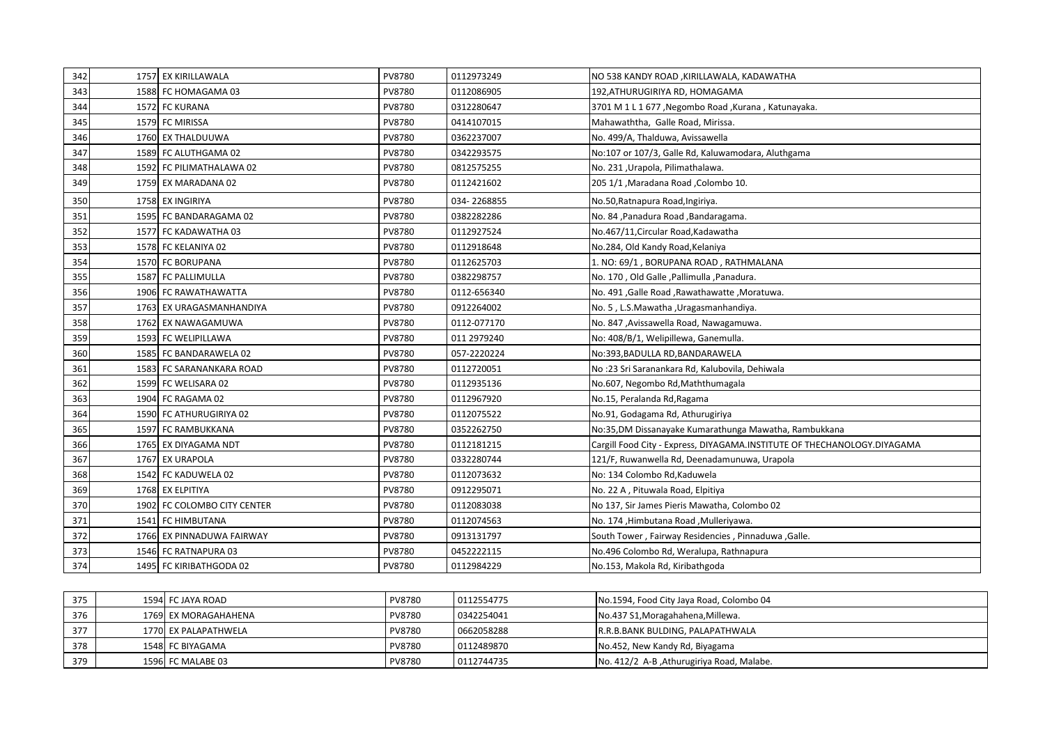| 342 | 1757 EX KIRILLAWALA         | PV8780 | 0112973249  | NO 538 KANDY ROAD, KIRILLAWALA, KADAWATHA                                |
|-----|-----------------------------|--------|-------------|--------------------------------------------------------------------------|
| 343 | 1588 FC HOMAGAMA 03         | PV8780 | 0112086905  | 192, ATHURUGIRIYA RD, HOMAGAMA                                           |
| 344 | 1572 FC KURANA              | PV8780 | 0312280647  | 3701 M 1 L 1 677, Negombo Road, Kurana, Katunayaka.                      |
| 345 | 1579 FC MIRISSA             | PV8780 | 0414107015  | Mahawaththa, Galle Road, Mirissa.                                        |
| 346 | 1760 EX THALDUUWA           | PV8780 | 0362237007  | No. 499/A, Thalduwa, Avissawella                                         |
| 347 | 1589 FC ALUTHGAMA 02        | PV8780 | 0342293575  | No:107 or 107/3, Galle Rd, Kaluwamodara, Aluthgama                       |
| 348 | 1592 FC PILIMATHALAWA 02    | PV8780 | 0812575255  | No. 231, Urapola, Pilimathalawa.                                         |
| 349 | 1759 EX MARADANA 02         | PV8780 | 0112421602  | 205 1/1 , Maradana Road , Colombo 10.                                    |
| 350 | 1758 EX INGIRIYA            | PV8780 | 034-2268855 | No.50, Ratnapura Road, Ingiriya.                                         |
| 351 | 1595 FC BANDARAGAMA 02      | PV8780 | 0382282286  | No. 84, Panadura Road, Bandaragama.                                      |
| 352 | 1577 FC KADAWATHA 03        | PV8780 | 0112927524  | No.467/11, Circular Road, Kadawatha                                      |
| 353 | 1578 FC KELANIYA 02         | PV8780 | 0112918648  | No.284, Old Kandy Road, Kelaniya                                         |
| 354 | 1570 FC BORUPANA            | PV8780 | 0112625703  | 1. NO: 69/1, BORUPANA ROAD, RATHMALANA                                   |
| 355 | 1587 FC PALLIMULLA          | PV8780 | 0382298757  | No. 170, Old Galle, Pallimulla, Panadura.                                |
| 356 | 1906 FC RAWATHAWATTA        | PV8780 | 0112-656340 | No. 491, Galle Road, Rawathawatte, Moratuwa.                             |
| 357 | 1763 EX URAGASMANHANDIYA    | PV8780 | 0912264002  | No. 5, L.S.Mawatha, Uragasmanhandiya.                                    |
| 358 | 1762 EX NAWAGAMUWA          | PV8780 | 0112-077170 | No. 847, Avissawella Road, Nawagamuwa.                                   |
| 359 | 1593 FC WELIPILLAWA         | PV8780 | 011 2979240 | No: 408/B/1, Welipillewa, Ganemulla.                                     |
| 360 | 1585 FC BANDARAWELA 02      | PV8780 | 057-2220224 | No:393, BADULLA RD, BANDARAWELA                                          |
| 361 | 1583 FC SARANANKARA ROAD    | PV8780 | 0112720051  | No:23 Sri Saranankara Rd, Kalubovila, Dehiwala                           |
| 362 | 1599 FC WELISARA 02         | PV8780 | 0112935136  | No.607, Negombo Rd, Maththumagala                                        |
| 363 | 1904 FC RAGAMA 02           | PV8780 | 0112967920  | No.15, Peralanda Rd, Ragama                                              |
| 364 | 1590 FC ATHURUGIRIYA 02     | PV8780 | 0112075522  | No.91, Godagama Rd, Athurugiriya                                         |
| 365 | 1597 FC RAMBUKKANA          | PV8780 | 0352262750  | No:35,DM Dissanayake Kumarathunga Mawatha, Rambukkana                    |
| 366 | 1765 EX DIYAGAMA NDT        | PV8780 | 0112181215  | Cargill Food City - Express, DIYAGAMA.INSTITUTE OF THECHANOLOGY.DIYAGAMA |
| 367 | 1767 EX URAPOLA             | PV8780 | 0332280744  | 121/F, Ruwanwella Rd, Deenadamunuwa, Urapola                             |
| 368 | 1542 FC KADUWELA 02         | PV8780 | 0112073632  | No: 134 Colombo Rd, Kaduwela                                             |
| 369 | 1768 EX ELPITIYA            | PV8780 | 0912295071  | No. 22 A, Pituwala Road, Elpitiya                                        |
| 370 | 1902 FC COLOMBO CITY CENTER | PV8780 | 0112083038  | No 137, Sir James Pieris Mawatha, Colombo 02                             |
| 371 | 1541 FC HIMBUTANA           | PV8780 | 0112074563  | No. 174, Himbutana Road, Mulleriyawa.                                    |
| 372 | 1766 EX PINNADUWA FAIRWAY   | PV8780 | 0913131797  | South Tower, Fairway Residencies, Pinnaduwa, Galle.                      |
| 373 | 1546 FC RATNAPURA 03        | PV8780 | 0452222115  | No.496 Colombo Rd, Weralupa, Rathnapura                                  |
| 374 | 1495 FC KIRIBATHGODA 02     | PV8780 | 0112984229  | No.153, Makola Rd, Kiribathgoda                                          |

| 375 | 1594 FC JAYA ROAD    | PV8780 | 0112554775 | No.1594, Food City Jaya Road, Colombo 04  |
|-----|----------------------|--------|------------|-------------------------------------------|
| 376 | 1769 EX MORAGAHAHENA | PV8780 | 0342254041 | No.437 S1, Moragahahena, Millewa.         |
| 377 | 1770 EX PALAPATHWELA | PV8780 | 0662058288 | R.R.B.BANK BULDING, PALAPATHWALA          |
| 378 | 1548 FC BIYAGAMA     | PV8780 | 0112489870 | No.452, New Kandy Rd, Biyagama            |
| 379 | 1596 FC MALABE 03    | PV8780 | 0112744735 | No. 412/2 A-B, Athurugiriya Road, Malabe. |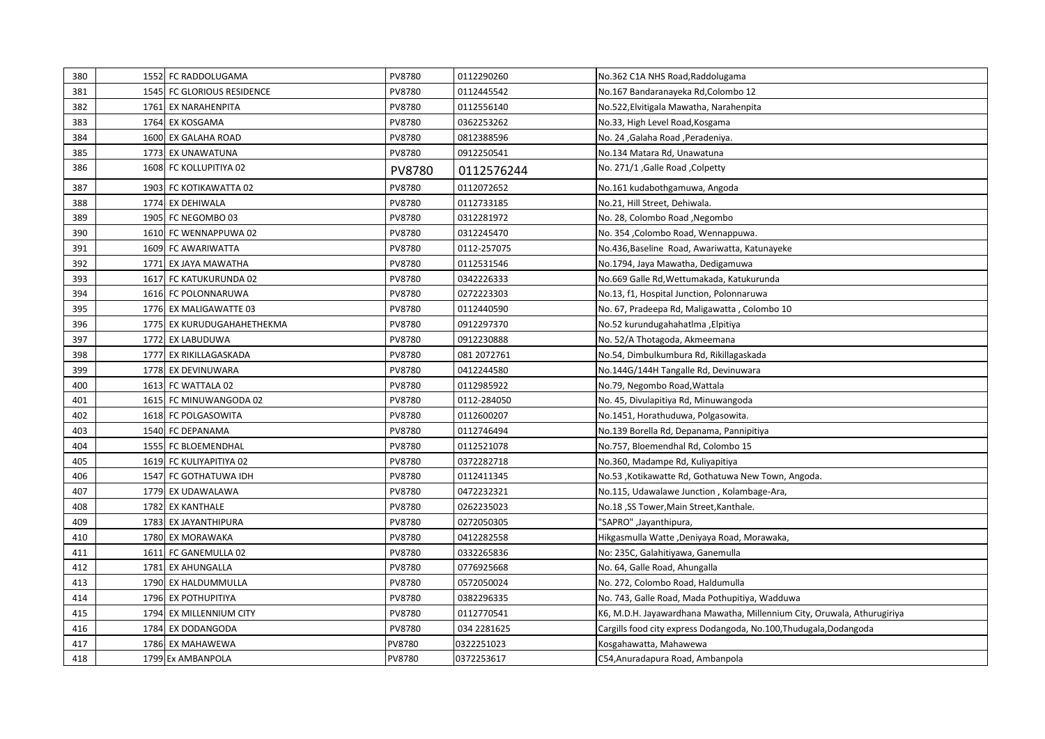| 380 | 1552 FC RADDOLUGAMA        | PV8780 | 0112290260  | No.362 C1A NHS Road, Raddolugama                                        |
|-----|----------------------------|--------|-------------|-------------------------------------------------------------------------|
| 381 | 1545 FC GLORIOUS RESIDENCE | PV8780 | 0112445542  | No.167 Bandaranayeka Rd,Colombo 12                                      |
| 382 | 1761 EX NARAHENPITA        | PV8780 | 0112556140  | No.522, Elvitigala Mawatha, Narahenpita                                 |
| 383 | 1764 EX KOSGAMA            | PV8780 | 0362253262  | No.33, High Level Road, Kosgama                                         |
| 384 | 1600 EX GALAHA ROAD        | PV8780 | 0812388596  | No. 24, Galaha Road, Peradeniya.                                        |
| 385 | 1773 EX UNAWATUNA          | PV8780 | 0912250541  | No.134 Matara Rd, Unawatuna                                             |
| 386 | 1608 FC KOLLUPITIYA 02     | PV8780 | 0112576244  | No. 271/1, Galle Road, Colpetty                                         |
| 387 | 1903 FC KOTIKAWATTA 02     | PV8780 | 0112072652  | No.161 kudabothgamuwa, Angoda                                           |
| 388 | 1774 EX DEHIWALA           | PV8780 | 0112733185  | No.21, Hill Street, Dehiwala.                                           |
| 389 | 1905 FC NEGOMBO 03         | PV8780 | 0312281972  | No. 28, Colombo Road, Negombo                                           |
| 390 | 1610 FC WENNAPPUWA 02      | PV8780 | 0312245470  | No. 354, Colombo Road, Wennappuwa.                                      |
| 391 | 1609 FC AWARIWATTA         | PV8780 | 0112-257075 | No.436, Baseline Road, Awariwatta, Katunayeke                           |
| 392 | 1771 EX JAYA MAWATHA       | PV8780 | 0112531546  | No.1794, Jaya Mawatha, Dedigamuwa                                       |
| 393 | 1617 FC KATUKURUNDA 02     | PV8780 | 0342226333  | No.669 Galle Rd, Wettumakada, Katukurunda                               |
| 394 | 1616 FC POLONNARUWA        | PV8780 | 0272223303  | No.13, f1, Hospital Junction, Polonnaruwa                               |
| 395 | 1776 EX MALIGAWATTE 03     | PV8780 | 0112440590  | No. 67, Pradeepa Rd, Maligawatta, Colombo 10                            |
| 396 | 1775 EX KURUDUGAHAHETHEKMA | PV8780 | 0912297370  | No.52 kurundugahahatlma ,Elpitiya                                       |
| 397 | 1772 EX LABUDUWA           | PV8780 | 0912230888  | No. 52/A Thotagoda, Akmeemana                                           |
| 398 | 1777 EX RIKILLAGASKADA     | PV8780 | 081 2072761 | No.54, Dimbulkumbura Rd, Rikillagaskada                                 |
| 399 | 1778 EX DEVINUWARA         | PV8780 | 0412244580  | No.144G/144H Tangalle Rd, Devinuwara                                    |
| 400 | 1613 FC WATTALA 02         | PV8780 | 0112985922  | No.79, Negombo Road, Wattala                                            |
| 401 | 1615 FC MINUWANGODA 02     | PV8780 | 0112-284050 | No. 45, Divulapitiya Rd, Minuwangoda                                    |
| 402 | 1618 FC POLGASOWITA        | PV8780 | 0112600207  | No.1451, Horathuduwa, Polgasowita.                                      |
| 403 | 1540 FC DEPANAMA           | PV8780 | 0112746494  | No.139 Borella Rd, Depanama, Pannipitiya                                |
| 404 | 1555 FC BLOEMENDHAL        | PV8780 | 0112521078  | No.757, Bloemendhal Rd, Colombo 15                                      |
| 405 | 1619 FC KULIYAPITIYA 02    | PV8780 | 0372282718  | No.360, Madampe Rd, Kuliyapitiya                                        |
| 406 | 1547 FC GOTHATUWA IDH      | PV8780 | 0112411345  | No.53, Kotikawatte Rd, Gothatuwa New Town, Angoda.                      |
| 407 | 1779 EX UDAWALAWA          | PV8780 | 0472232321  | No.115, Udawalawe Junction, Kolambage-Ara,                              |
| 408 | 1782 EX KANTHALE           | PV8780 | 0262235023  | No.18 ,SS Tower,Main Street,Kanthale.                                   |
| 409 | 1783 EX JAYANTHIPURA       | PV8780 | 0272050305  | "SAPRO" ,Jayanthipura,                                                  |
| 410 | 1780 EX MORAWAKA           | PV8780 | 0412282558  | Hikgasmulla Watte ,Deniyaya Road, Morawaka,                             |
| 411 | 1611 FC GANEMULLA 02       | PV8780 | 0332265836  | No: 235C, Galahitiyawa, Ganemulla                                       |
| 412 | 1781 EX AHUNGALLA          | PV8780 | 0776925668  | No. 64, Galle Road, Ahungalla                                           |
| 413 | 1790 EX HALDUMMULLA        | PV8780 | 0572050024  | No. 272, Colombo Road, Haldumulla                                       |
| 414 | 1796 EX POTHUPITIYA        | PV8780 | 0382296335  | No. 743, Galle Road, Mada Pothupitiya, Wadduwa                          |
| 415 | 1794 EX MILLENNIUM CITY    | PV8780 | 0112770541  | K6, M.D.H. Jayawardhana Mawatha, Millennium City, Oruwala, Athurugiriya |
| 416 | 1784 EX DODANGODA          | PV8780 | 034 2281625 | Cargills food city express Dodangoda, No.100, Thudugala, Dodangoda      |
| 417 | 1786 EX MAHAWEWA           | PV8780 | 0322251023  | Kosgahawatta, Mahawewa                                                  |
| 418 | 1799 Ex AMBANPOLA          | PV8780 | 0372253617  | C54, Anuradapura Road, Ambanpola                                        |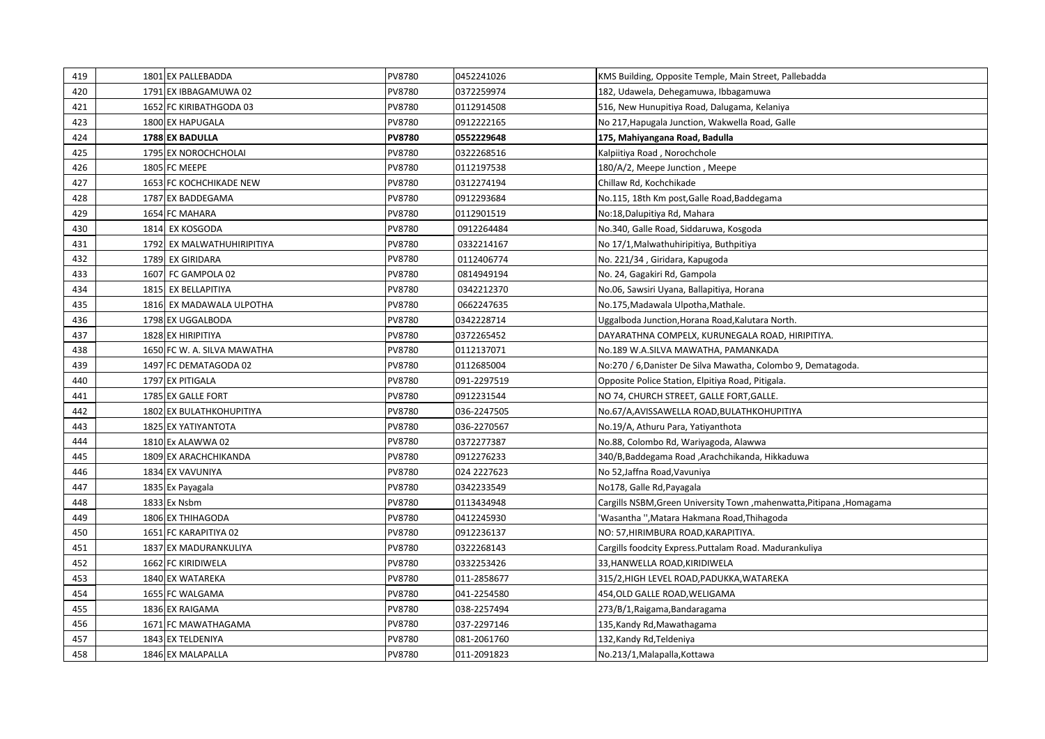| 419 | 1801 EX PALLEBADDA              | PV8780        | 0452241026  | KMS Building, Opposite Temple, Main Street, Pallebadda               |
|-----|---------------------------------|---------------|-------------|----------------------------------------------------------------------|
| 420 | 1791 EX IBBAGAMUWA 02           | PV8780        | 0372259974  | 182, Udawela, Dehegamuwa, Ibbagamuwa                                 |
| 421 | 1652 FC KIRIBATHGODA 03         | PV8780        | 0112914508  | 516, New Hunupitiya Road, Dalugama, Kelaniya                         |
| 423 | 1800 EX HAPUGALA                | PV8780        | 0912222165  | No 217, Hapugala Junction, Wakwella Road, Galle                      |
| 424 | 1788 EX BADULLA                 | <b>PV8780</b> | 0552229648  | 175, Mahiyangana Road, Badulla                                       |
| 425 | 1795 EX NOROCHCHOLAI            | PV8780        | 0322268516  | Kalpiitiya Road, Norochchole                                         |
| 426 | 1805 FC MEEPE                   | PV8780        | 0112197538  | 180/A/2, Meepe Junction, Meepe                                       |
| 427 | 1653 FC KOCHCHIKADE NEW         | PV8780        | 0312274194  | Chillaw Rd, Kochchikade                                              |
| 428 | 1787 EX BADDEGAMA               | PV8780        | 0912293684  | No.115, 18th Km post, Galle Road, Baddegama                          |
| 429 | 1654 FC MAHARA                  | PV8780        | 0112901519  | No:18, Dalupitiya Rd, Mahara                                         |
| 430 | 1814 EX KOSGODA                 | PV8780        | 0912264484  | No.340, Galle Road, Siddaruwa, Kosgoda                               |
| 431 | 1792 EX MALWATHUHIRIPITIYA      | PV8780        | 0332214167  | No 17/1, Malwathuhiripitiya, Buthpitiya                              |
| 432 | 1789 EX GIRIDARA                | PV8780        | 0112406774  | No. 221/34, Giridara, Kapugoda                                       |
| 433 | 1607 FC GAMPOLA 02              | PV8780        | 0814949194  | No. 24, Gagakiri Rd, Gampola                                         |
| 434 | 1815 EX BELLAPITIYA             | PV8780        | 0342212370  | No.06, Sawsiri Uyana, Ballapitiya, Horana                            |
| 435 | 1816 EX MADAWALA ULPOTHA        | PV8780        | 0662247635  | No.175, Madawala Ulpotha, Mathale.                                   |
| 436 | 1798 EX UGGALBODA               | PV8780        | 0342228714  | Uggalboda Junction, Horana Road, Kalutara North.                     |
| 437 | 1828 EX HIRIPITIYA              | PV8780        | 0372265452  | DAYARATHNA COMPELX, KURUNEGALA ROAD, HIRIPITIYA.                     |
| 438 | 1650 FC W. A. SILVA MAWATHA     | PV8780        | 0112137071  | No.189 W.A.SILVA MAWATHA, PAMANKADA                                  |
| 439 | 1497 FC DEMATAGODA 02           | PV8780        | 0112685004  | No:270 / 6, Danister De Silva Mawatha, Colombo 9, Dematagoda.        |
| 440 | 1797 EX PITIGALA                | PV8780        | 091-2297519 | Opposite Police Station, Elpitiya Road, Pitigala.                    |
| 441 | 1785 EX GALLE FORT              | PV8780        | 0912231544  | NO 74, CHURCH STREET, GALLE FORT, GALLE.                             |
| 442 | <b>1802 EX BULATHKOHUPITIYA</b> | PV8780        | 036-2247505 | No.67/A, AVISSAWELLA ROAD, BULATHKOHUPITIYA                          |
| 443 | 1825 EX YATIYANTOTA             | PV8780        | 036-2270567 | No.19/A, Athuru Para, Yatiyanthota                                   |
| 444 | 1810 Ex ALAWWA 02               | PV8780        | 0372277387  | No.88, Colombo Rd, Wariyagoda, Alawwa                                |
| 445 | 1809 EX ARACHCHIKANDA           | PV8780        | 0912276233  | 340/B,Baddegama Road ,Arachchikanda, Hikkaduwa                       |
| 446 | 1834 EX VAVUNIYA                | PV8780        | 024 2227623 | No 52, Jaffna Road, Vavuniya                                         |
| 447 | 1835 Ex Payagala                | PV8780        | 0342233549  | No178, Galle Rd, Payagala                                            |
| 448 | 1833 Ex Nsbm                    | PV8780        | 0113434948  | Cargills NSBM, Green University Town, mahenwatta, Pitipana, Homagama |
| 449 | 1806 EX THIHAGODA               | PV8780        | 0412245930  | Wasantha ", Matara Hakmana Road, Thihagoda                           |
| 450 | 1651 FC KARAPITIYA 02           | PV8780        | 0912236137  | NO: 57, HIRIMBURA ROAD, KARAPITIYA.                                  |
| 451 | 1837 EX MADURANKULIYA           | PV8780        | 0322268143  | Cargills foodcity Express. Puttalam Road. Madurankuliya              |
| 452 | 1662 FC KIRIDIWELA              | PV8780        | 0332253426  | 33, HANWELLA ROAD, KIRIDIWELA                                        |
| 453 | 1840 EX WATAREKA                | PV8780        | 011-2858677 | 315/2, HIGH LEVEL ROAD, PADUKKA, WATAREKA                            |
| 454 | 1655 FC WALGAMA                 | PV8780        | 041-2254580 | 454, OLD GALLE ROAD, WELIGAMA                                        |
| 455 | 1836 EX RAIGAMA                 | PV8780        | 038-2257494 | 273/B/1, Raigama, Bandaragama                                        |
| 456 | 1671 FC MAWATHAGAMA             | PV8780        | 037-2297146 | 135,Kandy Rd,Mawathagama                                             |
| 457 | 1843 EX TELDENIYA               | PV8780        | 081-2061760 | 132, Kandy Rd, Teldeniya                                             |
| 458 | 1846 EX MALAPALLA               | PV8780        | 011-2091823 | No.213/1, Malapalla, Kottawa                                         |